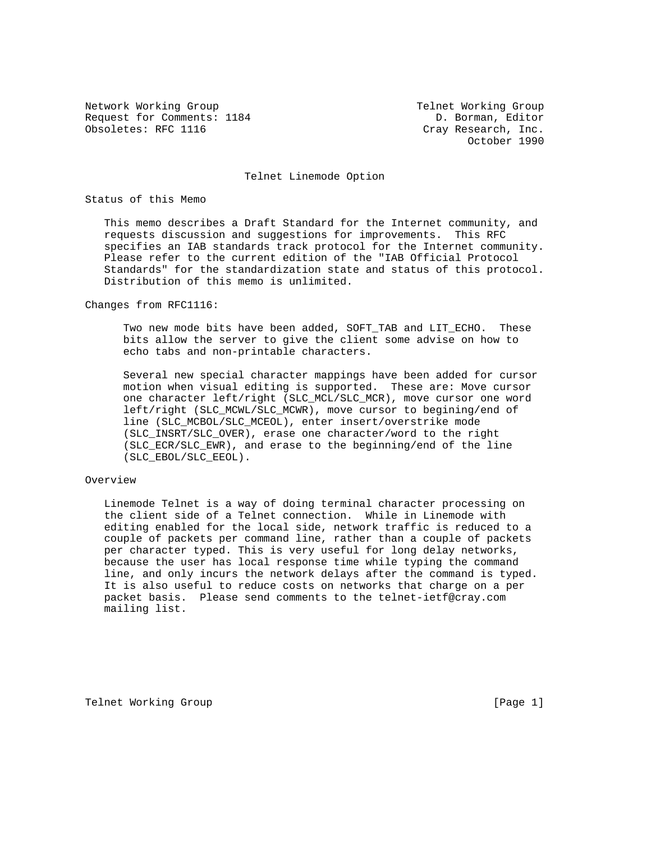Network Working Group Telnet Working Group Request for Comments: 1184 Comments: 1184 Obsoletes: RFC 1116 Cray Research, Inc.

October 1990

Telnet Linemode Option

Status of this Memo

 This memo describes a Draft Standard for the Internet community, and requests discussion and suggestions for improvements. This RFC specifies an IAB standards track protocol for the Internet community. Please refer to the current edition of the "IAB Official Protocol Standards" for the standardization state and status of this protocol. Distribution of this memo is unlimited.

Changes from RFC1116:

Two new mode bits have been added, SOFT TAB and LIT ECHO. These bits allow the server to give the client some advise on how to echo tabs and non-printable characters.

 Several new special character mappings have been added for cursor motion when visual editing is supported. These are: Move cursor one character left/right (SLC\_MCL/SLC\_MCR), move cursor one word left/right (SLC\_MCWL/SLC\_MCWR), move cursor to begining/end of line (SLC\_MCBOL/SLC\_MCEOL), enter insert/overstrike mode (SLC\_INSRT/SLC\_OVER), erase one character/word to the right (SLC\_ECR/SLC\_EWR), and erase to the beginning/end of the line (SLC\_EBOL/SLC\_EEOL).

## Overview

 Linemode Telnet is a way of doing terminal character processing on the client side of a Telnet connection. While in Linemode with editing enabled for the local side, network traffic is reduced to a couple of packets per command line, rather than a couple of packets per character typed. This is very useful for long delay networks, because the user has local response time while typing the command line, and only incurs the network delays after the command is typed. It is also useful to reduce costs on networks that charge on a per packet basis. Please send comments to the telnet-ietf@cray.com mailing list.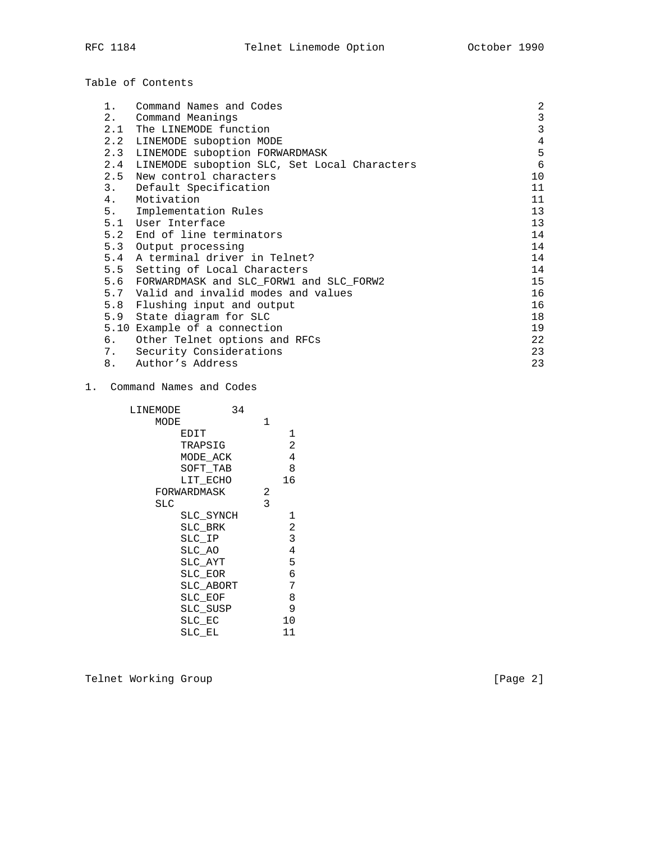|  |  |  | Table of Contents |
|--|--|--|-------------------|
|--|--|--|-------------------|

| 1.    | Command Names and Codes                      | 2              |
|-------|----------------------------------------------|----------------|
| $2$ . | Command Meanings                             | $\mathbf{3}$   |
| 2.1   | The LINEMODE function                        | 3              |
| 2.2   | LINEMODE suboption MODE                      | $\overline{4}$ |
| 2.3   | LINEMODE suboption FORWARDMASK               | 5              |
| 2.4   | LINEMODE suboption SLC, Set Local Characters | 6              |
| 2.5   | New control characters                       | 10             |
| 3.    | Default Specification                        | 11             |
| 4.    | Motivation                                   | 11             |
| 5.    | Implementation Rules                         | 13             |
| 5.1   | User Interface                               | 13             |
| 5.2   | End of line terminators                      | 14             |
|       | 5.3 Output processing                        | 14             |
| 5.4   | A terminal driver in Telnet?                 | 14             |
| 5.5   | Setting of Local Characters                  | 14             |
| 5.6   | FORWARDMASK and SLC FORW1 and SLC FORW2      | 15             |
| 5.7   | Valid and invalid modes and values           | 16             |
| 5.8   | Flushing input and output                    | 16             |
| 5.9   | State diagram for SLC                        | 18             |
|       | 5.10 Example of a connection                 | 19             |
| 6.    | Other Telnet options and RFCs                | 22             |
| 7.    | Security Considerations                      | 23             |
| 8.    | Author's Address                             | 23             |

# 1. Command Names and Codes

| LINEMODE |             | 34 |   |                |
|----------|-------------|----|---|----------------|
| MODE     |             |    | 1 |                |
|          | EDIT        |    |   | 1              |
|          | TRAPSIG     |    |   | 2              |
|          | MODE ACK    |    |   | 4              |
|          | SOFT TAB    |    |   | 8              |
|          | LIT ECHO    |    |   | 16             |
|          | FORWARDMASK |    | 2 |                |
| SLC      |             |    | 3 |                |
|          | SLC SYNCH   |    |   |                |
|          | SLC BRK     |    |   | 2              |
|          | SLC_IP      |    |   | 3              |
|          | SLC AO      |    |   | $\overline{4}$ |
|          | SLC AYT     |    |   | 5              |
|          | SLC EOR     |    |   | б              |
|          | SLC ABORT   |    |   | 7              |
|          | SLC EOF     |    |   | 8              |
|          | SLC_SUSP    |    |   | 9              |
|          | SLC EC      |    |   | 10             |
|          | SLC EL      |    |   | 11             |
|          |             |    |   |                |

Telnet Working Group **compared to the Community** [Page 2]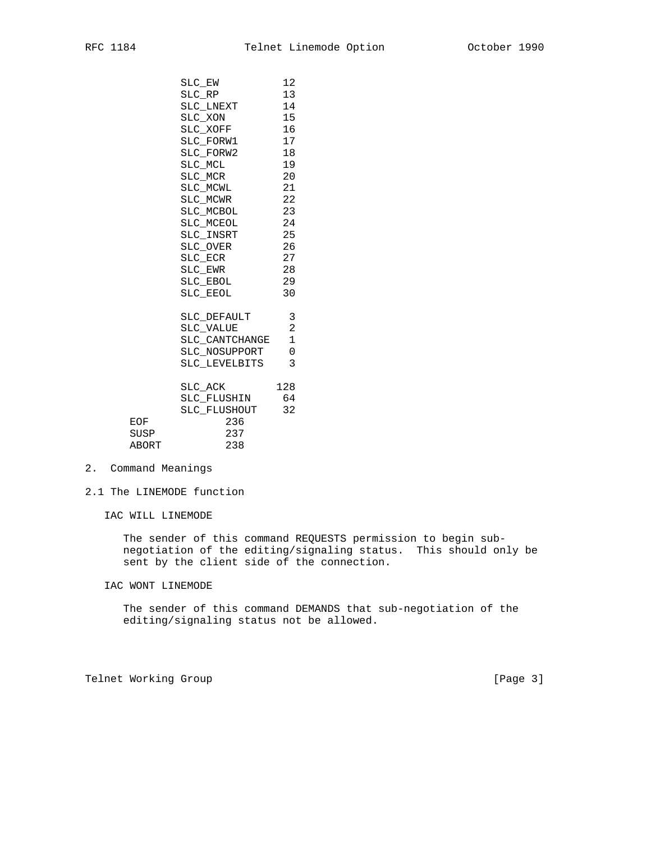|                      | SLC EW<br>SLC RP<br>SLC_LNEXT<br>SLC_XON<br>SLC_XOFF<br>SLC FORW1<br>SLC_FORW2<br>SLC MCL<br>SLC MCR<br>SLC_MCWL<br>SLC MCWR<br>SLC MCBOL<br>SLC MCEOL<br>SLC_INSRT<br>SLC OVER<br>SLC ECR<br>SLC EWR<br>SLC_EBOL<br>SLC EEOL | 12<br>13<br>14<br>15<br>16<br>17<br>18<br>19<br>20<br>21<br>22<br>23<br>24<br>25<br>26<br>27<br>28<br>29<br>30 |
|----------------------|-------------------------------------------------------------------------------------------------------------------------------------------------------------------------------------------------------------------------------|----------------------------------------------------------------------------------------------------------------|
|                      | SLC_DEFAULT<br>SLC VALUE<br>SLC CANTCHANGE<br>SLC NOSUPPORT<br>SLC LEVELBITS                                                                                                                                                  | 3<br>$\overline{2}$<br>$\mathbf{1}$<br>0<br>3<br>128                                                           |
| EOF<br>SUSP<br>ABORT | $SLC\_ACK$<br>SLC FLUSHIN<br>SLC FLUSHOUT 32<br>236<br>237<br>238                                                                                                                                                             | 64                                                                                                             |

2. Command Meanings

- 2.1 The LINEMODE function
	- IAC WILL LINEMODE

 The sender of this command REQUESTS permission to begin sub negotiation of the editing/signaling status. This should only be sent by the client side of the connection.

IAC WONT LINEMODE

 The sender of this command DEMANDS that sub-negotiation of the editing/signaling status not be allowed.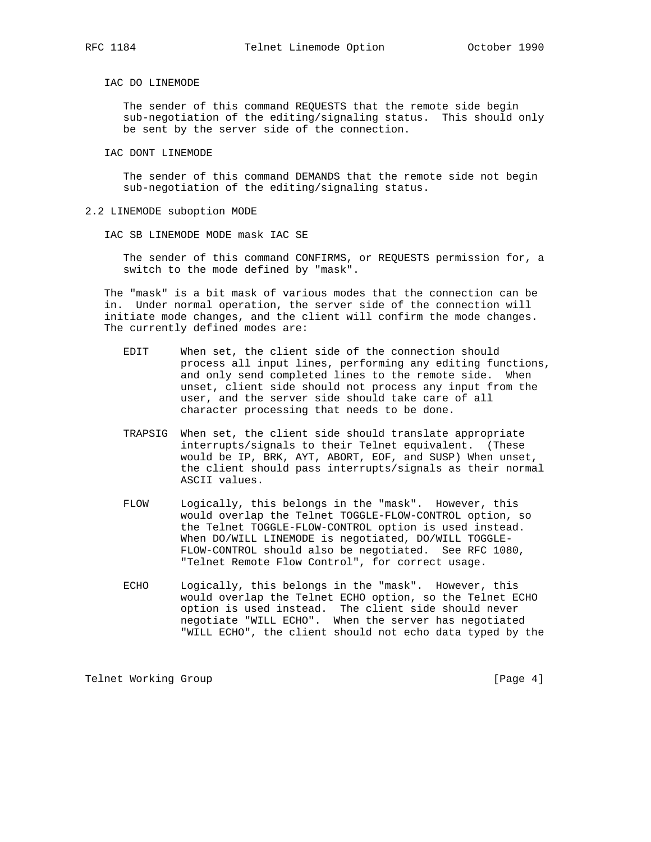## IAC DO LINEMODE

 The sender of this command REQUESTS that the remote side begin sub-negotiation of the editing/signaling status. This should only be sent by the server side of the connection.

IAC DONT LINEMODE

 The sender of this command DEMANDS that the remote side not begin sub-negotiation of the editing/signaling status.

- 2.2 LINEMODE suboption MODE
	- IAC SB LINEMODE MODE mask IAC SE

 The sender of this command CONFIRMS, or REQUESTS permission for, a switch to the mode defined by "mask".

 The "mask" is a bit mask of various modes that the connection can be in. Under normal operation, the server side of the connection will initiate mode changes, and the client will confirm the mode changes. The currently defined modes are:

- EDIT When set, the client side of the connection should process all input lines, performing any editing functions, and only send completed lines to the remote side. When unset, client side should not process any input from the user, and the server side should take care of all character processing that needs to be done.
- TRAPSIG When set, the client side should translate appropriate interrupts/signals to their Telnet equivalent. (These would be IP, BRK, AYT, ABORT, EOF, and SUSP) When unset, the client should pass interrupts/signals as their normal ASCII values.
- FLOW Logically, this belongs in the "mask". However, this would overlap the Telnet TOGGLE-FLOW-CONTROL option, so the Telnet TOGGLE-FLOW-CONTROL option is used instead. When DO/WILL LINEMODE is negotiated, DO/WILL TOGGLE- FLOW-CONTROL should also be negotiated. See RFC 1080, "Telnet Remote Flow Control", for correct usage.
- ECHO Logically, this belongs in the "mask". However, this would overlap the Telnet ECHO option, so the Telnet ECHO option is used instead. The client side should never negotiate "WILL ECHO". When the server has negotiated "WILL ECHO", the client should not echo data typed by the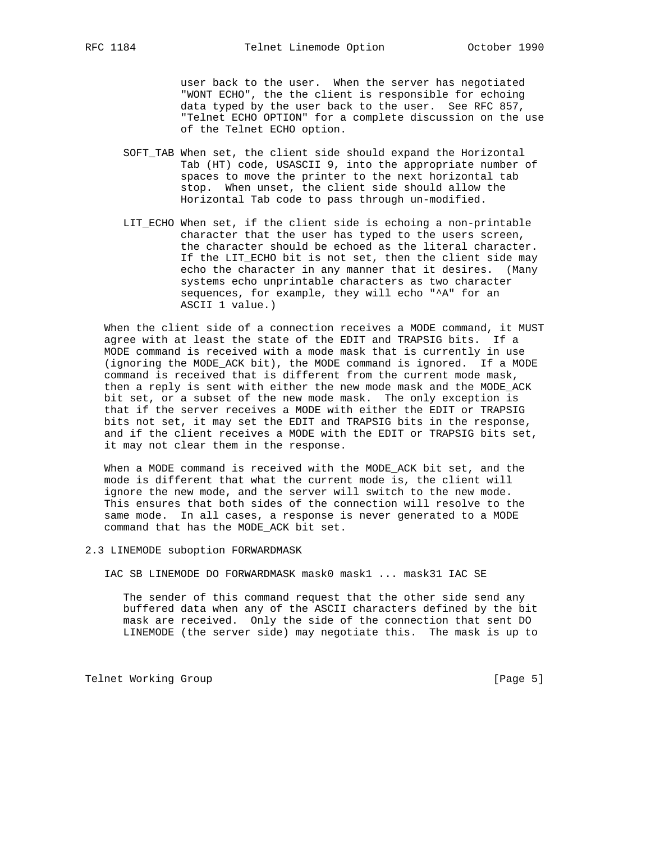user back to the user. When the server has negotiated "WONT ECHO", the the client is responsible for echoing data typed by the user back to the user. See RFC 857, "Telnet ECHO OPTION" for a complete discussion on the use of the Telnet ECHO option.

- SOFT\_TAB When set, the client side should expand the Horizontal Tab (HT) code, USASCII 9, into the appropriate number of spaces to move the printer to the next horizontal tab stop. When unset, the client side should allow the Horizontal Tab code to pass through un-modified.
- LIT\_ECHO When set, if the client side is echoing a non-printable character that the user has typed to the users screen, the character should be echoed as the literal character. If the LIT\_ECHO bit is not set, then the client side may echo the character in any manner that it desires. (Many systems echo unprintable characters as two character sequences, for example, they will echo "^A" for an ASCII 1 value.)

 When the client side of a connection receives a MODE command, it MUST agree with at least the state of the EDIT and TRAPSIG bits. If a MODE command is received with a mode mask that is currently in use (ignoring the MODE\_ACK bit), the MODE command is ignored. If a MODE command is received that is different from the current mode mask, then a reply is sent with either the new mode mask and the MODE\_ACK bit set, or a subset of the new mode mask. The only exception is that if the server receives a MODE with either the EDIT or TRAPSIG bits not set, it may set the EDIT and TRAPSIG bits in the response, and if the client receives a MODE with the EDIT or TRAPSIG bits set, it may not clear them in the response.

 When a MODE command is received with the MODE\_ACK bit set, and the mode is different that what the current mode is, the client will ignore the new mode, and the server will switch to the new mode. This ensures that both sides of the connection will resolve to the same mode. In all cases, a response is never generated to a MODE command that has the MODE\_ACK bit set.

2.3 LINEMODE suboption FORWARDMASK

IAC SB LINEMODE DO FORWARDMASK mask0 mask1 ... mask31 IAC SE

 The sender of this command request that the other side send any buffered data when any of the ASCII characters defined by the bit mask are received. Only the side of the connection that sent DO LINEMODE (the server side) may negotiate this. The mask is up to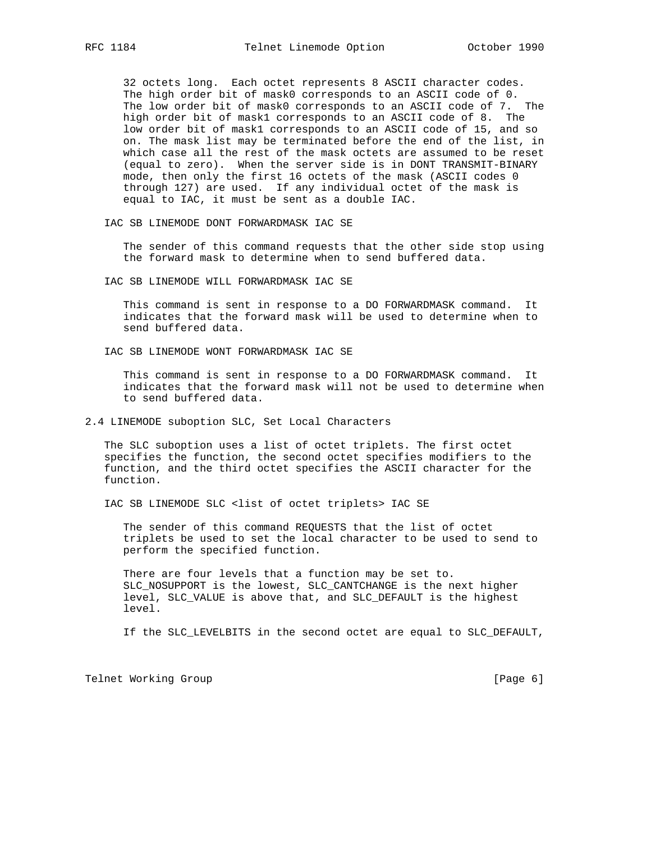32 octets long. Each octet represents 8 ASCII character codes. The high order bit of mask0 corresponds to an ASCII code of 0. The low order bit of mask0 corresponds to an ASCII code of 7. The high order bit of mask1 corresponds to an ASCII code of 8. The low order bit of mask1 corresponds to an ASCII code of 15, and so on. The mask list may be terminated before the end of the list, in which case all the rest of the mask octets are assumed to be reset (equal to zero). When the server side is in DONT TRANSMIT-BINARY mode, then only the first 16 octets of the mask (ASCII codes 0 through 127) are used. If any individual octet of the mask is equal to IAC, it must be sent as a double IAC.

IAC SB LINEMODE DONT FORWARDMASK IAC SE

 The sender of this command requests that the other side stop using the forward mask to determine when to send buffered data.

IAC SB LINEMODE WILL FORWARDMASK IAC SE

 This command is sent in response to a DO FORWARDMASK command. It indicates that the forward mask will be used to determine when to send buffered data.

IAC SB LINEMODE WONT FORWARDMASK IAC SE

 This command is sent in response to a DO FORWARDMASK command. It indicates that the forward mask will not be used to determine when to send buffered data.

2.4 LINEMODE suboption SLC, Set Local Characters

 The SLC suboption uses a list of octet triplets. The first octet specifies the function, the second octet specifies modifiers to the function, and the third octet specifies the ASCII character for the function.

IAC SB LINEMODE SLC <list of octet triplets> IAC SE

 The sender of this command REQUESTS that the list of octet triplets be used to set the local character to be used to send to perform the specified function.

 There are four levels that a function may be set to. SLC\_NOSUPPORT is the lowest, SLC\_CANTCHANGE is the next higher level, SLC\_VALUE is above that, and SLC\_DEFAULT is the highest level.

If the SLC\_LEVELBITS in the second octet are equal to SLC\_DEFAULT,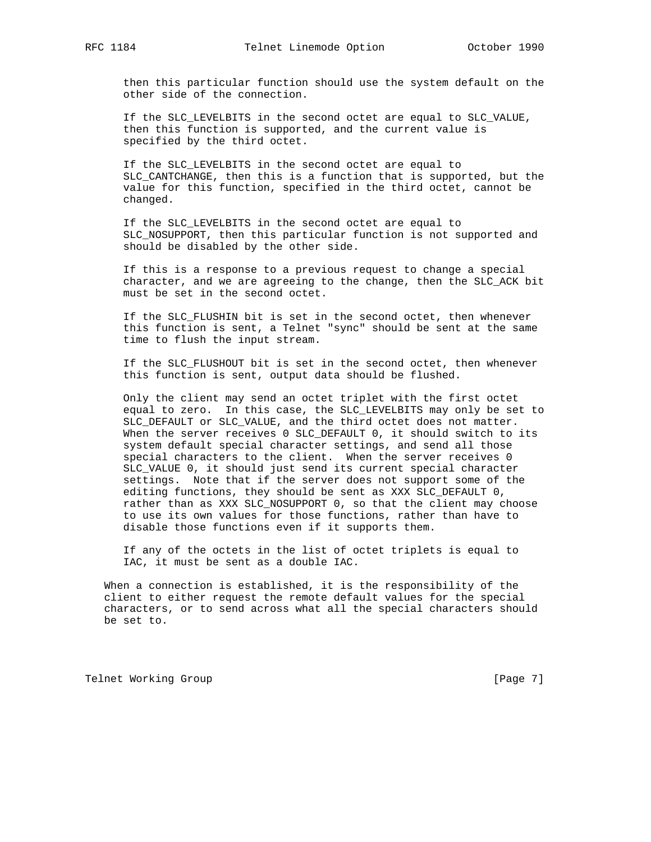then this particular function should use the system default on the other side of the connection.

 If the SLC\_LEVELBITS in the second octet are equal to SLC\_VALUE, then this function is supported, and the current value is specified by the third octet.

 If the SLC\_LEVELBITS in the second octet are equal to SLC\_CANTCHANGE, then this is a function that is supported, but the value for this function, specified in the third octet, cannot be changed.

 If the SLC\_LEVELBITS in the second octet are equal to SLC\_NOSUPPORT, then this particular function is not supported and should be disabled by the other side.

 If this is a response to a previous request to change a special character, and we are agreeing to the change, then the SLC\_ACK bit must be set in the second octet.

 If the SLC\_FLUSHIN bit is set in the second octet, then whenever this function is sent, a Telnet "sync" should be sent at the same time to flush the input stream.

 If the SLC\_FLUSHOUT bit is set in the second octet, then whenever this function is sent, output data should be flushed.

 Only the client may send an octet triplet with the first octet equal to zero. In this case, the SLC\_LEVELBITS may only be set to SLC\_DEFAULT or SLC\_VALUE, and the third octet does not matter. When the server receives 0 SLC\_DEFAULT 0, it should switch to its system default special character settings, and send all those special characters to the client. When the server receives 0 SLC\_VALUE 0, it should just send its current special character settings. Note that if the server does not support some of the editing functions, they should be sent as XXX SLC\_DEFAULT 0, rather than as XXX SLC\_NOSUPPORT 0, so that the client may choose to use its own values for those functions, rather than have to disable those functions even if it supports them.

 If any of the octets in the list of octet triplets is equal to IAC, it must be sent as a double IAC.

 When a connection is established, it is the responsibility of the client to either request the remote default values for the special characters, or to send across what all the special characters should be set to.

Telnet Working Group **Example 20** and the contract of the contract of  $[Page 7]$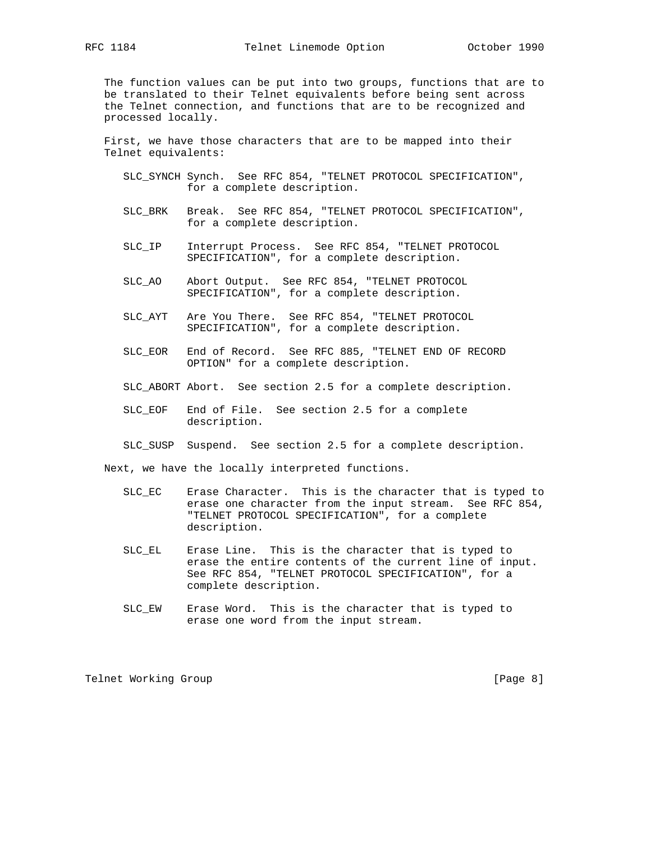The function values can be put into two groups, functions that are to be translated to their Telnet equivalents before being sent across the Telnet connection, and functions that are to be recognized and processed locally.

 First, we have those characters that are to be mapped into their Telnet equivalents:

- SLC\_SYNCH Synch. See RFC 854, "TELNET PROTOCOL SPECIFICATION", for a complete description.
- SLC\_BRK Break. See RFC 854, "TELNET PROTOCOL SPECIFICATION", for a complete description.
- SLC\_IP Interrupt Process. See RFC 854, "TELNET PROTOCOL SPECIFICATION", for a complete description.
- SLC\_AO Abort Output. See RFC 854, "TELNET PROTOCOL SPECIFICATION", for a complete description.
- SLC\_AYT Are You There. See RFC 854, "TELNET PROTOCOL SPECIFICATION", for a complete description.
- SLC\_EOR End of Record. See RFC 885, "TELNET END OF RECORD OPTION" for a complete description.
- SLC\_ABORT Abort. See section 2.5 for a complete description.
- SLC\_EOF End of File. See section 2.5 for a complete description.
- SLC\_SUSP Suspend. See section 2.5 for a complete description.

Next, we have the locally interpreted functions.

- SLC\_EC Erase Character. This is the character that is typed to erase one character from the input stream. See RFC 854, "TELNET PROTOCOL SPECIFICATION", for a complete description.
- SLC\_EL Erase Line. This is the character that is typed to erase the entire contents of the current line of input. See RFC 854, "TELNET PROTOCOL SPECIFICATION", for a complete description.
- SLC\_EW Erase Word. This is the character that is typed to erase one word from the input stream.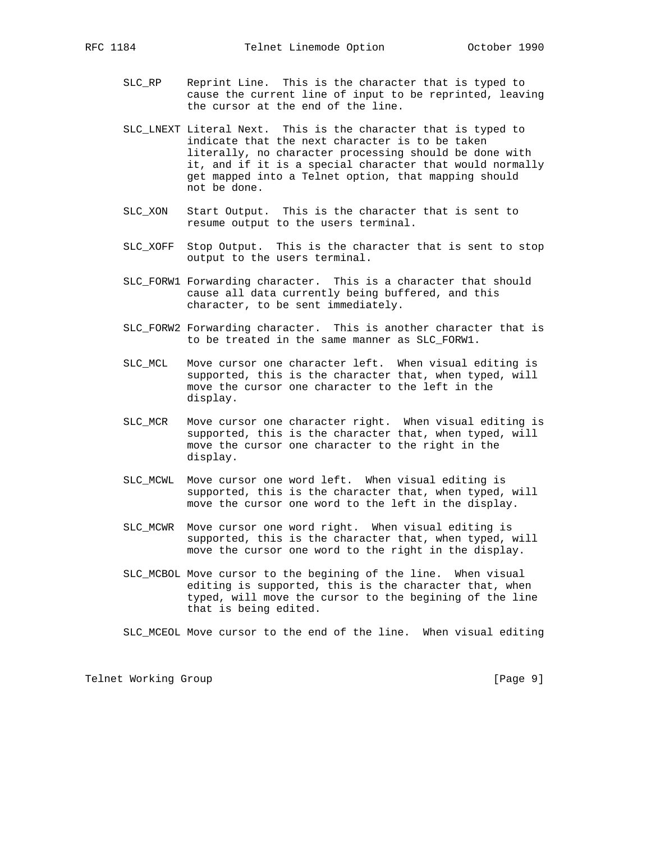SLC\_RP Reprint Line. This is the character that is typed to cause the current line of input to be reprinted, leaving

the cursor at the end of the line.

- SLC\_LNEXT Literal Next. This is the character that is typed to indicate that the next character is to be taken literally, no character processing should be done with it, and if it is a special character that would normally get mapped into a Telnet option, that mapping should not be done.
- SLC\_XON Start Output. This is the character that is sent to resume output to the users terminal.
- SLC\_XOFF Stop Output. This is the character that is sent to stop output to the users terminal.
- SLC\_FORW1 Forwarding character. This is a character that should cause all data currently being buffered, and this character, to be sent immediately.
- SLC\_FORW2 Forwarding character. This is another character that is to be treated in the same manner as SLC\_FORW1.
- SLC\_MCL Move cursor one character left. When visual editing is supported, this is the character that, when typed, will move the cursor one character to the left in the display.
- SLC\_MCR Move cursor one character right. When visual editing is supported, this is the character that, when typed, will move the cursor one character to the right in the display.
- SLC\_MCWL Move cursor one word left. When visual editing is supported, this is the character that, when typed, will move the cursor one word to the left in the display.
- SLC\_MCWR Move cursor one word right. When visual editing is supported, this is the character that, when typed, will move the cursor one word to the right in the display.
- SLC\_MCBOL Move cursor to the begining of the line. When visual editing is supported, this is the character that, when typed, will move the cursor to the begining of the line that is being edited.
- SLC\_MCEOL Move cursor to the end of the line. When visual editing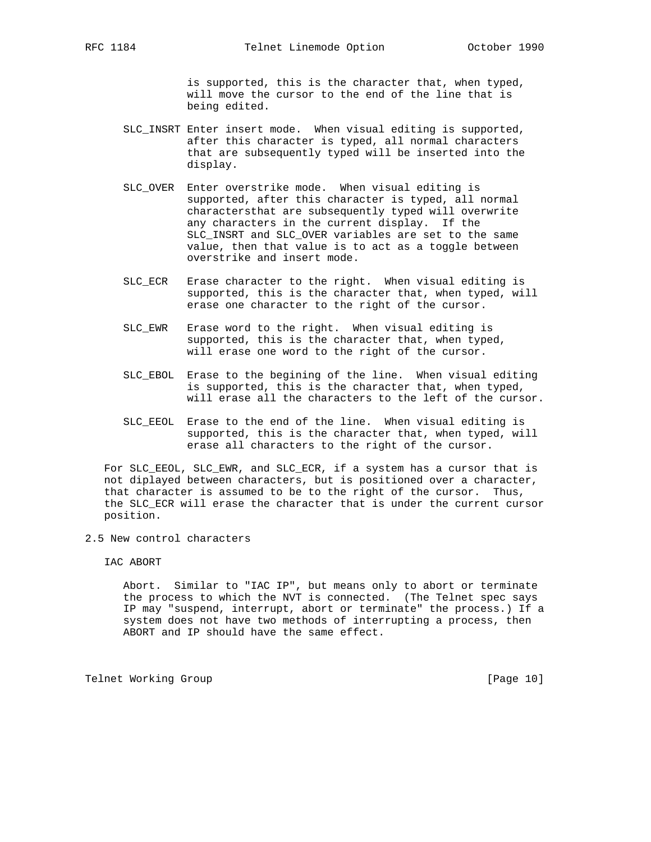is supported, this is the character that, when typed, will move the cursor to the end of the line that is being edited.

- SLC\_INSRT Enter insert mode. When visual editing is supported, after this character is typed, all normal characters that are subsequently typed will be inserted into the display.
- SLC\_OVER Enter overstrike mode. When visual editing is supported, after this character is typed, all normal charactersthat are subsequently typed will overwrite any characters in the current display. If the SLC\_INSRT and SLC\_OVER variables are set to the same value, then that value is to act as a toggle between overstrike and insert mode.
- SLC\_ECR Erase character to the right. When visual editing is supported, this is the character that, when typed, will erase one character to the right of the cursor.
- SLC\_EWR Erase word to the right. When visual editing is supported, this is the character that, when typed, will erase one word to the right of the cursor.
- SLC\_EBOL Erase to the begining of the line. When visual editing is supported, this is the character that, when typed, will erase all the characters to the left of the cursor.
- SLC\_EEOL Erase to the end of the line. When visual editing is supported, this is the character that, when typed, will erase all characters to the right of the cursor.

For SLC EEOL, SLC EWR, and SLC ECR, if a system has a cursor that is not diplayed between characters, but is positioned over a character, that character is assumed to be to the right of the cursor. Thus, the SLC\_ECR will erase the character that is under the current cursor position.

2.5 New control characters

IAC ABORT

 Abort. Similar to "IAC IP", but means only to abort or terminate the process to which the NVT is connected. (The Telnet spec says IP may "suspend, interrupt, abort or terminate" the process.) If a system does not have two methods of interrupting a process, then ABORT and IP should have the same effect.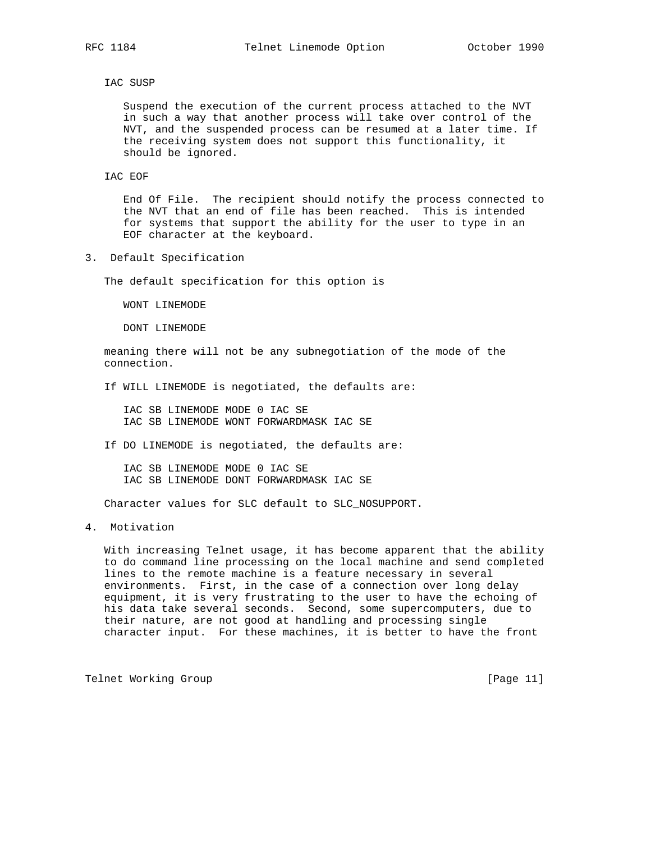#### IAC SUSP

 Suspend the execution of the current process attached to the NVT in such a way that another process will take over control of the NVT, and the suspended process can be resumed at a later time. If the receiving system does not support this functionality, it should be ignored.

IAC EOF

 End Of File. The recipient should notify the process connected to the NVT that an end of file has been reached. This is intended for systems that support the ability for the user to type in an EOF character at the keyboard.

3. Default Specification

The default specification for this option is

WONT LINEMODE

DONT LINEMODE

 meaning there will not be any subnegotiation of the mode of the connection.

If WILL LINEMODE is negotiated, the defaults are:

 IAC SB LINEMODE MODE 0 IAC SE IAC SB LINEMODE WONT FORWARDMASK IAC SE

If DO LINEMODE is negotiated, the defaults are:

 IAC SB LINEMODE MODE 0 IAC SE IAC SB LINEMODE DONT FORWARDMASK IAC SE

Character values for SLC default to SLC\_NOSUPPORT.

4. Motivation

 With increasing Telnet usage, it has become apparent that the ability to do command line processing on the local machine and send completed lines to the remote machine is a feature necessary in several environments. First, in the case of a connection over long delay equipment, it is very frustrating to the user to have the echoing of his data take several seconds. Second, some supercomputers, due to their nature, are not good at handling and processing single character input. For these machines, it is better to have the front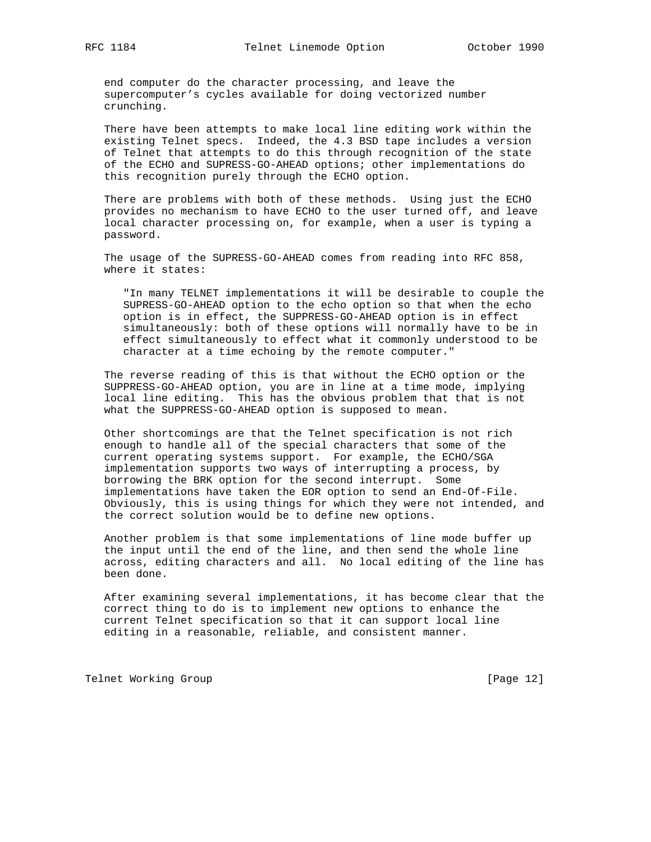end computer do the character processing, and leave the supercomputer's cycles available for doing vectorized number crunching.

 There have been attempts to make local line editing work within the existing Telnet specs. Indeed, the 4.3 BSD tape includes a version of Telnet that attempts to do this through recognition of the state of the ECHO and SUPRESS-GO-AHEAD options; other implementations do this recognition purely through the ECHO option.

 There are problems with both of these methods. Using just the ECHO provides no mechanism to have ECHO to the user turned off, and leave local character processing on, for example, when a user is typing a password.

 The usage of the SUPRESS-GO-AHEAD comes from reading into RFC 858, where it states:

 "In many TELNET implementations it will be desirable to couple the SUPRESS-GO-AHEAD option to the echo option so that when the echo option is in effect, the SUPPRESS-GO-AHEAD option is in effect simultaneously: both of these options will normally have to be in effect simultaneously to effect what it commonly understood to be character at a time echoing by the remote computer."

 The reverse reading of this is that without the ECHO option or the SUPPRESS-GO-AHEAD option, you are in line at a time mode, implying local line editing. This has the obvious problem that that is not what the SUPPRESS-GO-AHEAD option is supposed to mean.

 Other shortcomings are that the Telnet specification is not rich enough to handle all of the special characters that some of the current operating systems support. For example, the ECHO/SGA implementation supports two ways of interrupting a process, by borrowing the BRK option for the second interrupt. Some implementations have taken the EOR option to send an End-Of-File. Obviously, this is using things for which they were not intended, and the correct solution would be to define new options.

 Another problem is that some implementations of line mode buffer up the input until the end of the line, and then send the whole line across, editing characters and all. No local editing of the line has been done.

 After examining several implementations, it has become clear that the correct thing to do is to implement new options to enhance the current Telnet specification so that it can support local line editing in a reasonable, reliable, and consistent manner.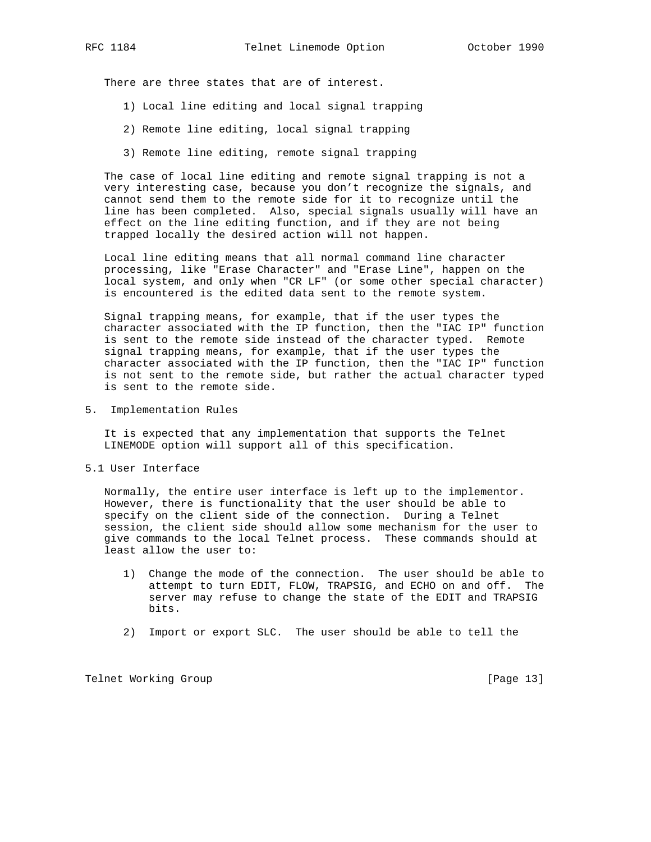There are three states that are of interest.

- 1) Local line editing and local signal trapping
- 2) Remote line editing, local signal trapping
- 3) Remote line editing, remote signal trapping

 The case of local line editing and remote signal trapping is not a very interesting case, because you don't recognize the signals, and cannot send them to the remote side for it to recognize until the line has been completed. Also, special signals usually will have an effect on the line editing function, and if they are not being trapped locally the desired action will not happen.

 Local line editing means that all normal command line character processing, like "Erase Character" and "Erase Line", happen on the local system, and only when "CR LF" (or some other special character) is encountered is the edited data sent to the remote system.

 Signal trapping means, for example, that if the user types the character associated with the IP function, then the "IAC IP" function is sent to the remote side instead of the character typed. Remote signal trapping means, for example, that if the user types the character associated with the IP function, then the "IAC IP" function is not sent to the remote side, but rather the actual character typed is sent to the remote side.

5. Implementation Rules

 It is expected that any implementation that supports the Telnet LINEMODE option will support all of this specification.

5.1 User Interface

 Normally, the entire user interface is left up to the implementor. However, there is functionality that the user should be able to specify on the client side of the connection. During a Telnet session, the client side should allow some mechanism for the user to give commands to the local Telnet process. These commands should at least allow the user to:

- 1) Change the mode of the connection. The user should be able to attempt to turn EDIT, FLOW, TRAPSIG, and ECHO on and off. The server may refuse to change the state of the EDIT and TRAPSIG bits.
- 2) Import or export SLC. The user should be able to tell the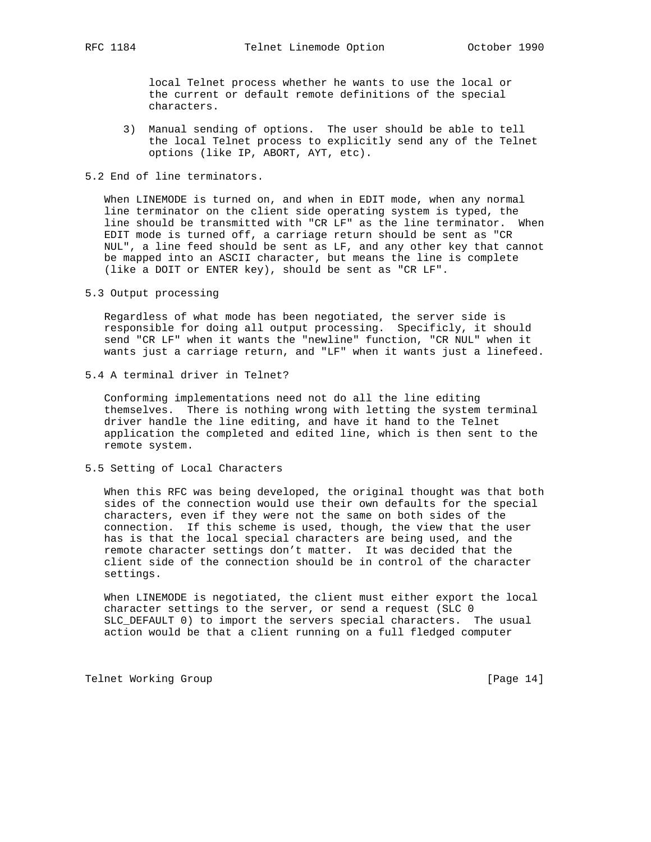local Telnet process whether he wants to use the local or the current or default remote definitions of the special characters.

- 3) Manual sending of options. The user should be able to tell the local Telnet process to explicitly send any of the Telnet options (like IP, ABORT, AYT, etc).
- 5.2 End of line terminators.

 When LINEMODE is turned on, and when in EDIT mode, when any normal line terminator on the client side operating system is typed, the line should be transmitted with "CR LF" as the line terminator. When EDIT mode is turned off, a carriage return should be sent as "CR NUL", a line feed should be sent as LF, and any other key that cannot be mapped into an ASCII character, but means the line is complete (like a DOIT or ENTER key), should be sent as "CR LF".

5.3 Output processing

 Regardless of what mode has been negotiated, the server side is responsible for doing all output processing. Specificly, it should send "CR LF" when it wants the "newline" function, "CR NUL" when it wants just a carriage return, and "LF" when it wants just a linefeed.

5.4 A terminal driver in Telnet?

 Conforming implementations need not do all the line editing themselves. There is nothing wrong with letting the system terminal driver handle the line editing, and have it hand to the Telnet application the completed and edited line, which is then sent to the remote system.

5.5 Setting of Local Characters

 When this RFC was being developed, the original thought was that both sides of the connection would use their own defaults for the special characters, even if they were not the same on both sides of the connection. If this scheme is used, though, the view that the user has is that the local special characters are being used, and the remote character settings don't matter. It was decided that the client side of the connection should be in control of the character settings.

 When LINEMODE is negotiated, the client must either export the local character settings to the server, or send a request (SLC 0 SLC\_DEFAULT 0) to import the servers special characters. The usual action would be that a client running on a full fledged computer

Telnet Working Group **by Telnet Working** Group **and Constanting Constanting Constanting Constanting Constanting Constanting Constanting Constanting Constanting Constanting Constanting Constanting Constanting Constanting Co**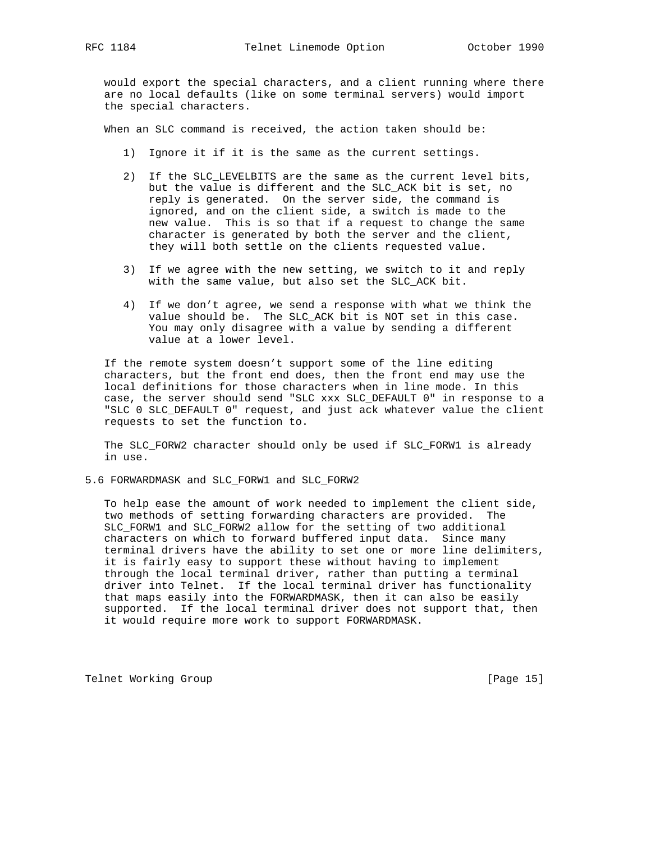would export the special characters, and a client running where there are no local defaults (like on some terminal servers) would import the special characters.

When an SLC command is received, the action taken should be:

- 1) Ignore it if it is the same as the current settings.
- 2) If the SLC\_LEVELBITS are the same as the current level bits, but the value is different and the SLC\_ACK bit is set, no reply is generated. On the server side, the command is ignored, and on the client side, a switch is made to the new value. This is so that if a request to change the same character is generated by both the server and the client, they will both settle on the clients requested value.
- 3) If we agree with the new setting, we switch to it and reply with the same value, but also set the SLC\_ACK bit.
- 4) If we don't agree, we send a response with what we think the value should be. The SLC\_ACK bit is NOT set in this case. You may only disagree with a value by sending a different value at a lower level.

 If the remote system doesn't support some of the line editing characters, but the front end does, then the front end may use the local definitions for those characters when in line mode. In this case, the server should send "SLC xxx SLC\_DEFAULT 0" in response to a "SLC 0 SLC\_DEFAULT 0" request, and just ack whatever value the client requests to set the function to.

 The SLC\_FORW2 character should only be used if SLC\_FORW1 is already in use.

5.6 FORWARDMASK and SLC\_FORW1 and SLC\_FORW2

 To help ease the amount of work needed to implement the client side, two methods of setting forwarding characters are provided. The SLC\_FORW1 and SLC\_FORW2 allow for the setting of two additional characters on which to forward buffered input data. Since many terminal drivers have the ability to set one or more line delimiters, it is fairly easy to support these without having to implement through the local terminal driver, rather than putting a terminal driver into Telnet. If the local terminal driver has functionality that maps easily into the FORWARDMASK, then it can also be easily supported. If the local terminal driver does not support that, then it would require more work to support FORWARDMASK.

Telnet Working Group **by Telnet Working** Group **and Constanting Constanting Constanting Constanting Constanting Constanting Constanting Constanting Constanting Constanting Constanting Constanting Constanting Constanting Co**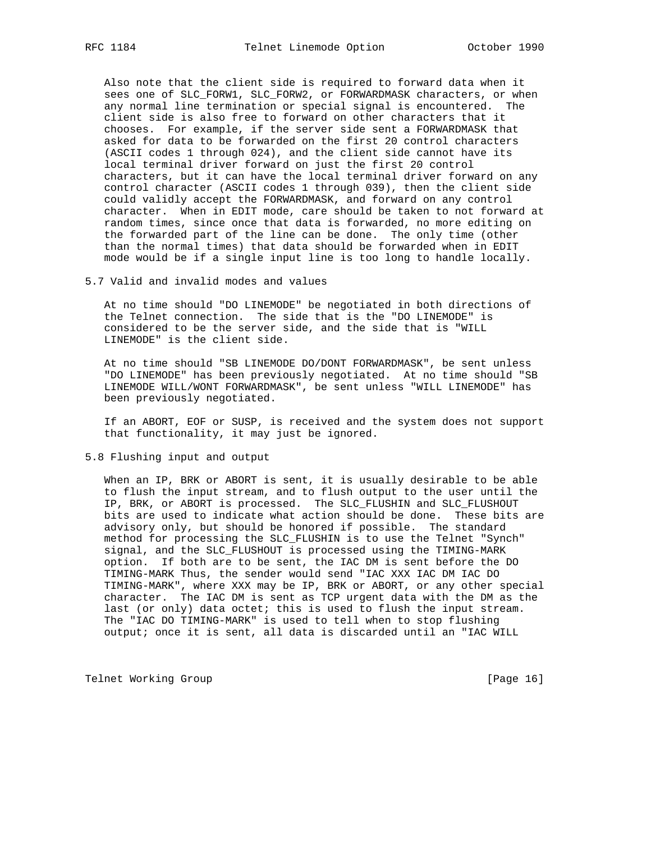Also note that the client side is required to forward data when it sees one of SLC\_FORW1, SLC\_FORW2, or FORWARDMASK characters, or when any normal line termination or special signal is encountered. The client side is also free to forward on other characters that it chooses. For example, if the server side sent a FORWARDMASK that asked for data to be forwarded on the first 20 control characters (ASCII codes 1 through 024), and the client side cannot have its local terminal driver forward on just the first 20 control characters, but it can have the local terminal driver forward on any control character (ASCII codes 1 through 039), then the client side could validly accept the FORWARDMASK, and forward on any control character. When in EDIT mode, care should be taken to not forward at random times, since once that data is forwarded, no more editing on the forwarded part of the line can be done. The only time (other than the normal times) that data should be forwarded when in EDIT mode would be if a single input line is too long to handle locally.

5.7 Valid and invalid modes and values

 At no time should "DO LINEMODE" be negotiated in both directions of the Telnet connection. The side that is the "DO LINEMODE" is considered to be the server side, and the side that is "WILL LINEMODE" is the client side.

 At no time should "SB LINEMODE DO/DONT FORWARDMASK", be sent unless "DO LINEMODE" has been previously negotiated. At no time should "SB LINEMODE WILL/WONT FORWARDMASK", be sent unless "WILL LINEMODE" has been previously negotiated.

 If an ABORT, EOF or SUSP, is received and the system does not support that functionality, it may just be ignored.

5.8 Flushing input and output

 When an IP, BRK or ABORT is sent, it is usually desirable to be able to flush the input stream, and to flush output to the user until the IP, BRK, or ABORT is processed. The SLC\_FLUSHIN and SLC\_FLUSHOUT bits are used to indicate what action should be done. These bits are advisory only, but should be honored if possible. The standard method for processing the SLC\_FLUSHIN is to use the Telnet "Synch" signal, and the SLC\_FLUSHOUT is processed using the TIMING-MARK option. If both are to be sent, the IAC DM is sent before the DO TIMING-MARK Thus, the sender would send "IAC XXX IAC DM IAC DO TIMING-MARK", where XXX may be IP, BRK or ABORT, or any other special character. The IAC DM is sent as TCP urgent data with the DM as the last (or only) data octet; this is used to flush the input stream. The "IAC DO TIMING-MARK" is used to tell when to stop flushing output; once it is sent, all data is discarded until an "IAC WILL

Telnet Working Group **by Telnet Working** Group **compared to the UP** (Page 16)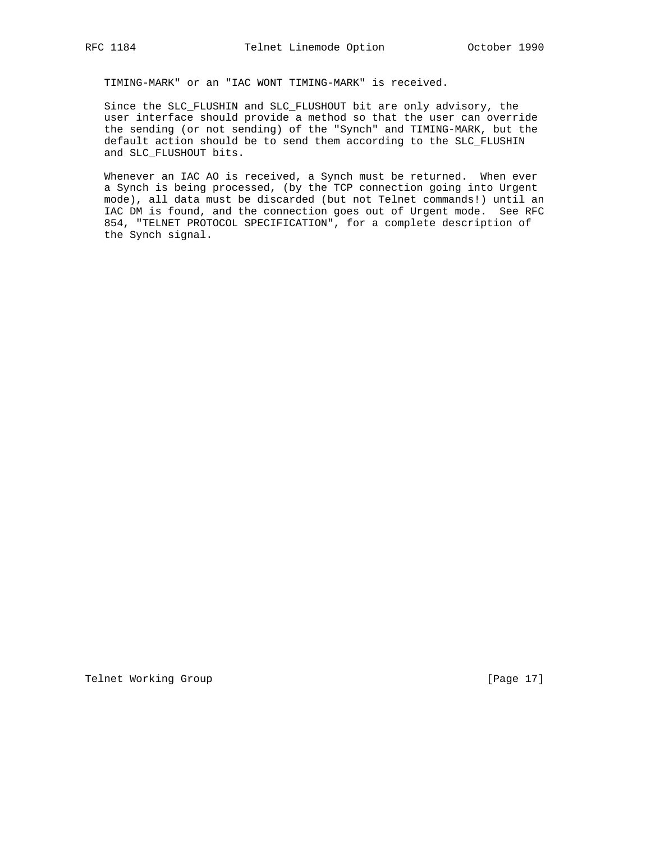TIMING-MARK" or an "IAC WONT TIMING-MARK" is received.

 Since the SLC\_FLUSHIN and SLC\_FLUSHOUT bit are only advisory, the user interface should provide a method so that the user can override the sending (or not sending) of the "Synch" and TIMING-MARK, but the default action should be to send them according to the SLC\_FLUSHIN and SLC\_FLUSHOUT bits.

 Whenever an IAC AO is received, a Synch must be returned. When ever a Synch is being processed, (by the TCP connection going into Urgent mode), all data must be discarded (but not Telnet commands!) until an IAC DM is found, and the connection goes out of Urgent mode. See RFC 854, "TELNET PROTOCOL SPECIFICATION", for a complete description of the Synch signal.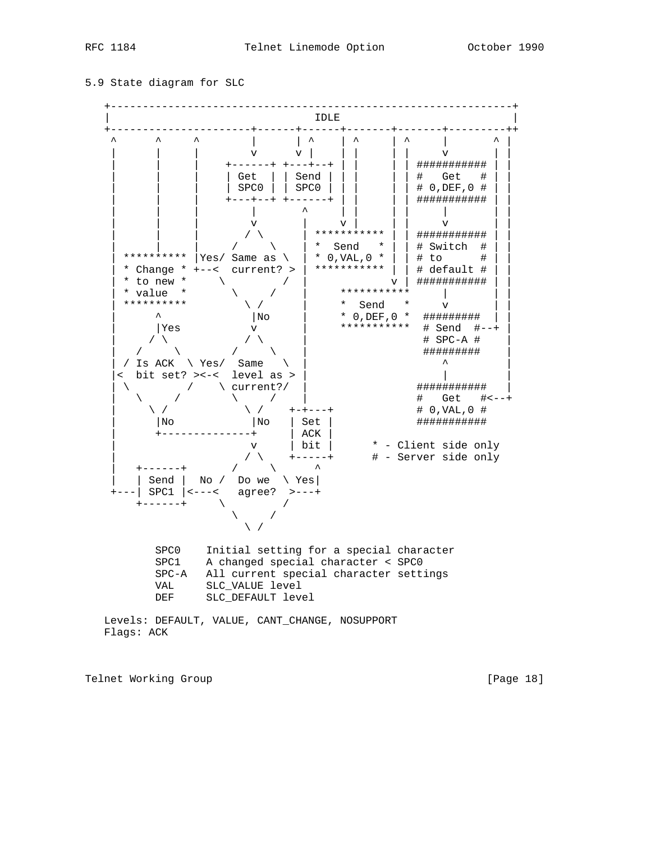#### 5.9 State diagram for SLC



Flags: ACK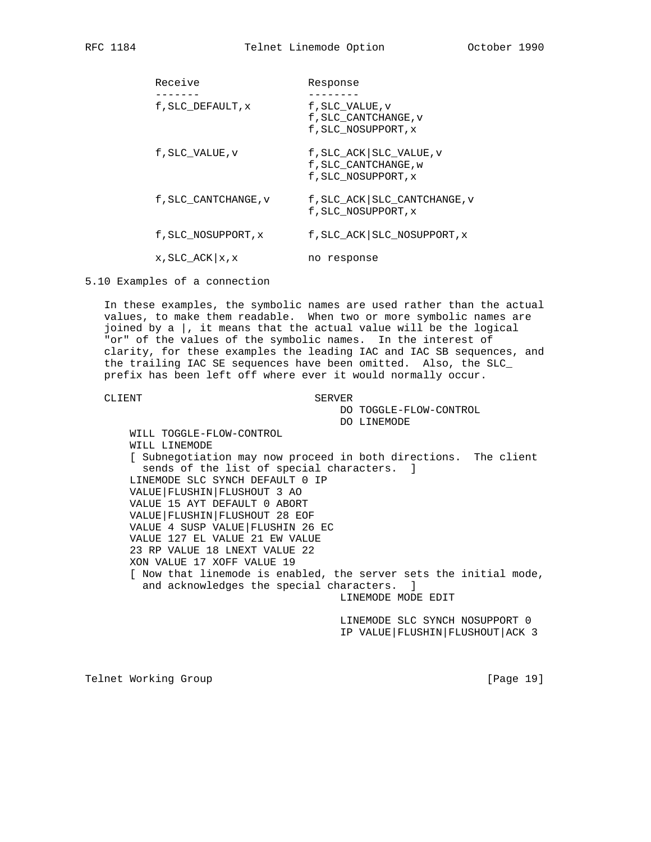| Receive               | Response                                                                 |
|-----------------------|--------------------------------------------------------------------------|
|                       |                                                                          |
| f, SLC DEFAULT, x     | f, SLC VALUE, v<br>f, SLC CANTCHANGE, v<br>f, SLC NOSUPPORT, x           |
| f, SLC VALUE, v       | f, SLC_ACK   SLC_VALUE, v<br>f, SLC CANTCHANGE, w<br>f, SLC NOSUPPORT, x |
| f, SLC CANTCHANGE, v  | f, SLC_ACK   SLC_CANTCHANGE, v<br>f, SLC NOSUPPORT, x                    |
| f, SLC NOSUPPORT, x   | f, SLC_ACK   SLC_NOSUPPORT, x                                            |
| $x$ , SLC_ACK $x$ , x | no response                                                              |

5.10 Examples of a connection

 In these examples, the symbolic names are used rather than the actual values, to make them readable. When two or more symbolic names are joined by a  $\vert$ , it means that the actual value will be the logical "or" of the values of the symbolic names. In the interest of clarity, for these examples the leading IAC and IAC SB sequences, and the trailing IAC SE sequences have been omitted. Also, the SLC\_ prefix has been left off where ever it would normally occur.

#### CLIENT SERVER

 DO TOGGLE-FLOW-CONTROL DO LINEMODE

 WILL TOGGLE-FLOW-CONTROL WILL LINEMODE [ Subnegotiation may now proceed in both directions. The client sends of the list of special characters. ] LINEMODE SLC SYNCH DEFAULT 0 IP VALUE|FLUSHIN|FLUSHOUT 3 AO VALUE 15 AYT DEFAULT 0 ABORT VALUE|FLUSHIN|FLUSHOUT 28 EOF VALUE 4 SUSP VALUE|FLUSHIN 26 EC VALUE 127 EL VALUE 21 EW VALUE 23 RP VALUE 18 LNEXT VALUE 22 XON VALUE 17 XOFF VALUE 19 [ Now that linemode is enabled, the server sets the initial mode, and acknowledges the special characters. ] LINEMODE MODE EDIT

> LINEMODE SLC SYNCH NOSUPPORT 0 IP VALUE|FLUSHIN|FLUSHOUT|ACK 3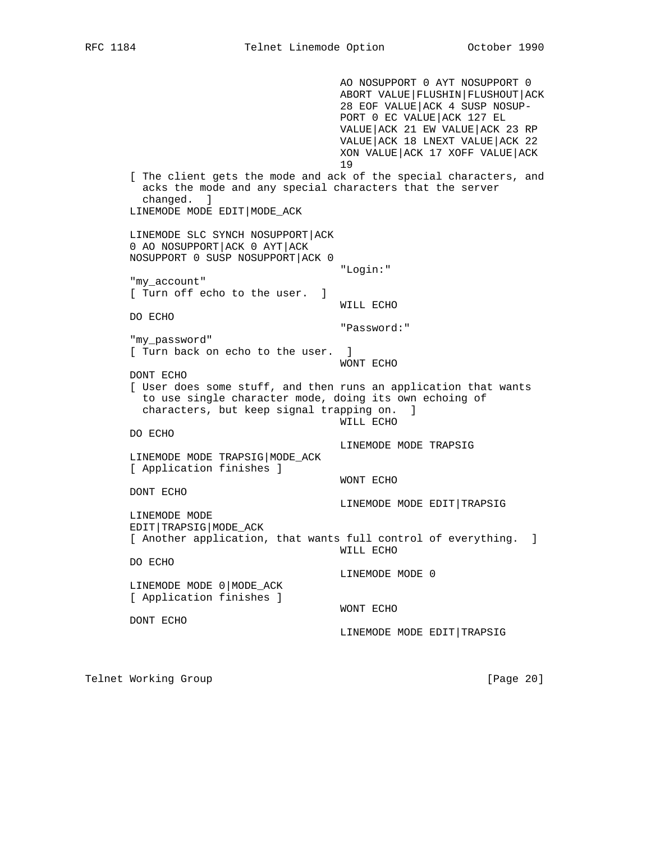AO NOSUPPORT 0 AYT NOSUPPORT 0 ABORT VALUE|FLUSHIN|FLUSHOUT|ACK 28 EOF VALUE|ACK 4 SUSP NOSUP- PORT 0 EC VALUE|ACK 127 EL VALUE|ACK 21 EW VALUE|ACK 23 RP VALUE|ACK 18 LNEXT VALUE|ACK 22 XON VALUE|ACK 17 XOFF VALUE|ACK 19 [ The client gets the mode and ack of the special characters, and acks the mode and any special characters that the server changed. ] LINEMODE MODE EDIT|MODE\_ACK LINEMODE SLC SYNCH NOSUPPORT|ACK 0 AO NOSUPPORT|ACK 0 AYT|ACK NOSUPPORT 0 SUSP NOSUPPORT|ACK 0 "Login:" "my\_account" [ Turn off echo to the user. ] WILL ECHO DO ECHO "Password:" "my\_password" [ Turn back on echo to the user. ] WONT ECHO DONT ECHO [ User does some stuff, and then runs an application that wants to use single character mode, doing its own echoing of characters, but keep signal trapping on. ] WILL ECHO DO ECHO LINEMODE MODE TRAPSIG LINEMODE MODE TRAPSIG|MODE\_ACK [ Application finishes ] WONT ECHO DONT ECHO LINEMODE MODE EDIT|TRAPSIG LINEMODE MODE EDIT|TRAPSIG|MODE\_ACK [ Another application, that wants full control of everything. ] WILL ECHO DO ECHO LINEMODE MODE 0 LINEMODE MODE 0|MODE\_ACK [ Application finishes ] WONT ECHO DONT ECHO LINEMODE MODE EDIT|TRAPSIG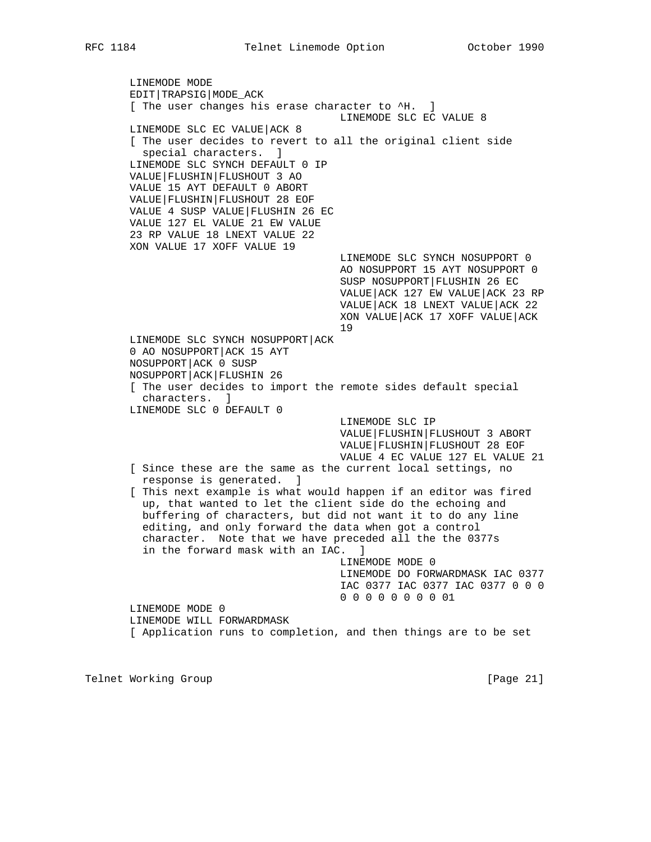LINEMODE MODE EDIT|TRAPSIG|MODE\_ACK [ The user changes his erase character to  $4$ H. ] LINEMODE SLC EC VALUE 8 LINEMODE SLC EC VALUE|ACK 8 [ The user decides to revert to all the original client side special characters. ] LINEMODE SLC SYNCH DEFAULT 0 IP VALUE|FLUSHIN|FLUSHOUT 3 AO VALUE 15 AYT DEFAULT 0 ABORT VALUE|FLUSHIN|FLUSHOUT 28 EOF VALUE 4 SUSP VALUE|FLUSHIN 26 EC VALUE 127 EL VALUE 21 EW VALUE 23 RP VALUE 18 LNEXT VALUE 22 XON VALUE 17 XOFF VALUE 19 LINEMODE SLC SYNCH NOSUPPORT 0 AO NOSUPPORT 15 AYT NOSUPPORT 0 SUSP NOSUPPORT|FLUSHIN 26 EC VALUE|ACK 127 EW VALUE|ACK 23 RP VALUE|ACK 18 LNEXT VALUE|ACK 22 XON VALUE|ACK 17 XOFF VALUE|ACK 19 LINEMODE SLC SYNCH NOSUPPORT|ACK 0 AO NOSUPPORT|ACK 15 AYT NOSUPPORT|ACK 0 SUSP NOSUPPORT|ACK|FLUSHIN 26 [ The user decides to import the remote sides default special characters. ] LINEMODE SLC 0 DEFAULT 0 LINEMODE SLC IP VALUE|FLUSHIN|FLUSHOUT 3 ABORT VALUE|FLUSHIN|FLUSHOUT 28 EOF VALUE 4 EC VALUE 127 EL VALUE 21 [ Since these are the same as the current local settings, no response is generated. ] [ This next example is what would happen if an editor was fired up, that wanted to let the client side do the echoing and buffering of characters, but did not want it to do any line editing, and only forward the data when got a control character. Note that we have preceded all the the 0377s in the forward mask with an IAC. ] LINEMODE MODE 0 LINEMODE DO FORWARDMASK IAC 0377 IAC 0377 IAC 0377 IAC 0377 0 0 0 0 0 0 0 0 0 0 0 01 LINEMODE MODE 0 LINEMODE WILL FORWARDMASK [ Application runs to completion, and then things are to be set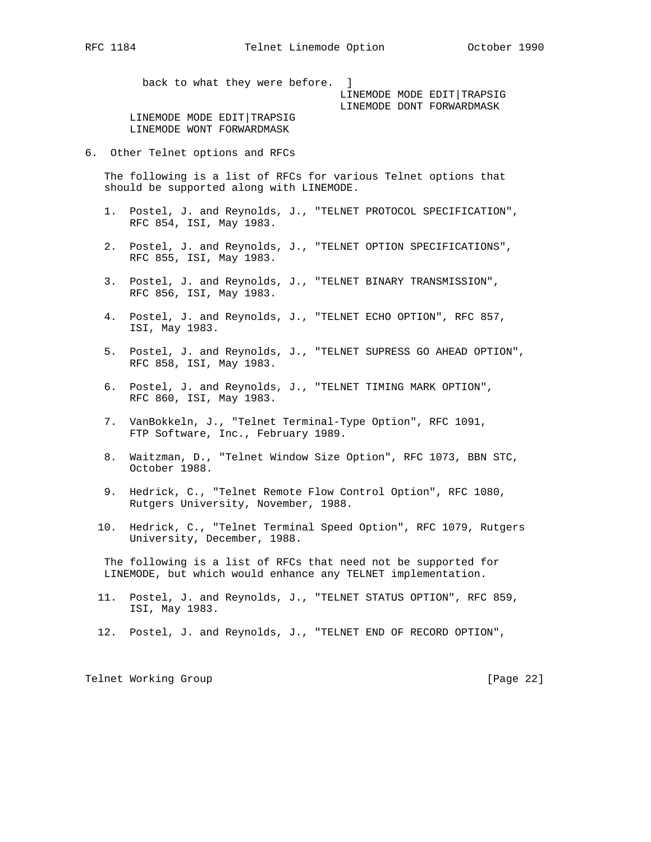back to what they were before. ]

 LINEMODE MODE EDIT|TRAPSIG LINEMODE DONT FORWARDMASK

LINEMODE MODE EDIT TRAPSIG LINEMODE WONT FORWARDMASK

6. Other Telnet options and RFCs

 The following is a list of RFCs for various Telnet options that should be supported along with LINEMODE.

- 1. Postel, J. and Reynolds, J., "TELNET PROTOCOL SPECIFICATION", RFC 854, ISI, May 1983.
- 2. Postel, J. and Reynolds, J., "TELNET OPTION SPECIFICATIONS", RFC 855, ISI, May 1983.
- 3. Postel, J. and Reynolds, J., "TELNET BINARY TRANSMISSION", RFC 856, ISI, May 1983.
- 4. Postel, J. and Reynolds, J., "TELNET ECHO OPTION", RFC 857, ISI, May 1983.
- 5. Postel, J. and Reynolds, J., "TELNET SUPRESS GO AHEAD OPTION", RFC 858, ISI, May 1983.
- 6. Postel, J. and Reynolds, J., "TELNET TIMING MARK OPTION", RFC 860, ISI, May 1983.
- 7. VanBokkeln, J., "Telnet Terminal-Type Option", RFC 1091, FTP Software, Inc., February 1989.
- 8. Waitzman, D., "Telnet Window Size Option", RFC 1073, BBN STC, October 1988.
- 9. Hedrick, C., "Telnet Remote Flow Control Option", RFC 1080, Rutgers University, November, 1988.
- 10. Hedrick, C., "Telnet Terminal Speed Option", RFC 1079, Rutgers University, December, 1988.

 The following is a list of RFCs that need not be supported for LINEMODE, but which would enhance any TELNET implementation.

- 11. Postel, J. and Reynolds, J., "TELNET STATUS OPTION", RFC 859, ISI, May 1983.
- 12. Postel, J. and Reynolds, J., "TELNET END OF RECORD OPTION",